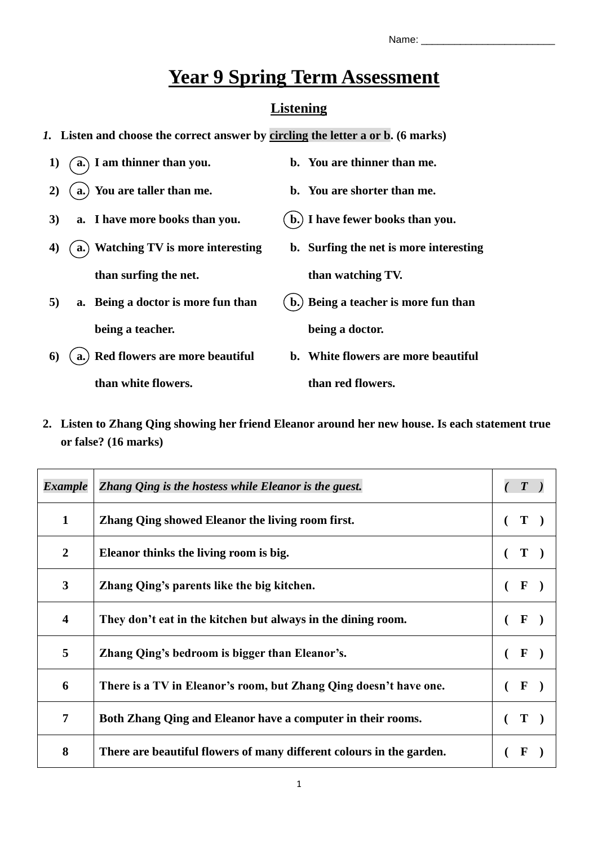# **Year 9 Spring Term Assessment**

## **Listening**

- *1.* **Listen and choose the correct answer by circling the letter a or b. (6 marks)**
- **1) a. I am thinner than you. b. You are thinner than me. 2) a. You are taller than me. b. You are shorter than me. 3) a. I have more books than you. b. I have fewer books than you. 4) a. Watching TV is more interesting than surfing the net. b. Surfing the net is more interesting than watching TV. 5) a. Being a doctor is more fun than being a teacher. b. Being a teacher is more fun than being a doctor. 6) a. Red flowers are more beautiful b. White flowers are more beautiful**

**than white flowers.**

**2. Listen to Zhang Qing showing her friend Eleanor around her new house. Is each statement true or false? (16 marks)**

**than red flowers.**

| <b>Example</b>          | Zhang Qing is the hostess while Eleanor is the guest.                |              |
|-------------------------|----------------------------------------------------------------------|--------------|
| $\mathbf{1}$            | Zhang Qing showed Eleanor the living room first.                     |              |
| $\overline{2}$          | Eleanor thinks the living room is big.                               | Т            |
| $\overline{\mathbf{3}}$ | Zhang Qing's parents like the big kitchen.                           | $\mathbf F$  |
| $\overline{\mathbf{4}}$ | They don't eat in the kitchen but always in the dining room.         | F            |
| 5                       | Zhang Qing's bedroom is bigger than Eleanor's.                       | F            |
| 6                       | There is a TV in Eleanor's room, but Zhang Qing doesn't have one.    | $\mathbf{F}$ |
| 7                       | Both Zhang Qing and Eleanor have a computer in their rooms.          | T            |
| 8                       | There are beautiful flowers of many different colours in the garden. |              |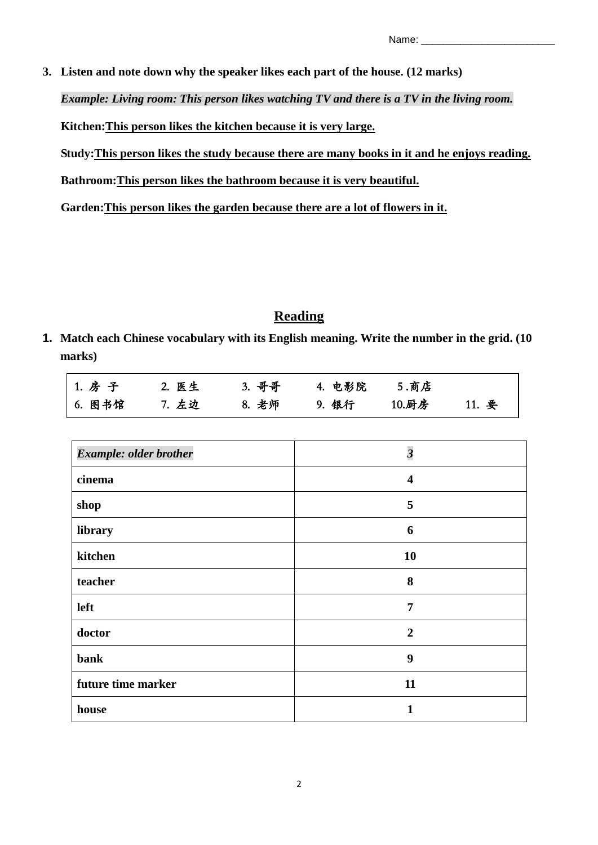**3. Listen and note down why the speaker likes each part of the house. (12 marks)**

*Example: Living room: This person likes watching TV and there is a TV in the living room.*

**Kitchen:This person likes the kitchen because it is very large.**

**Study:This person likes the study because there are many books in it and he enjoys reading.**

**Bathroom:This person likes the bathroom because it is very beautiful.**

**Garden:This person likes the garden because there are a lot of flowers in it.**

## **Reading**

**1. Match each Chinese vocabulary with its English meaning. Write the number in the grid. (10 marks)**

| 1. 房子  | 2. 医生 | 3. 哥哥 | 4. 电影院   5.商店 |       |       |
|--------|-------|-------|---------------|-------|-------|
| 6. 图书馆 | 7. 左边 | 8. 老师 | 9. 银行         | 10.厨房 | 11. 要 |

| <b>Example: older brother</b> | $\overline{\mathbf{3}}$ |
|-------------------------------|-------------------------|
| cinema                        | $\overline{\mathbf{4}}$ |
| shop                          | 5                       |
| library                       | 6                       |
| kitchen                       | 10                      |
| teacher                       | 8                       |
| left                          | $\overline{7}$          |
| doctor                        | $\overline{2}$          |
| bank                          | 9                       |
| future time marker            | 11                      |
| house                         | 1                       |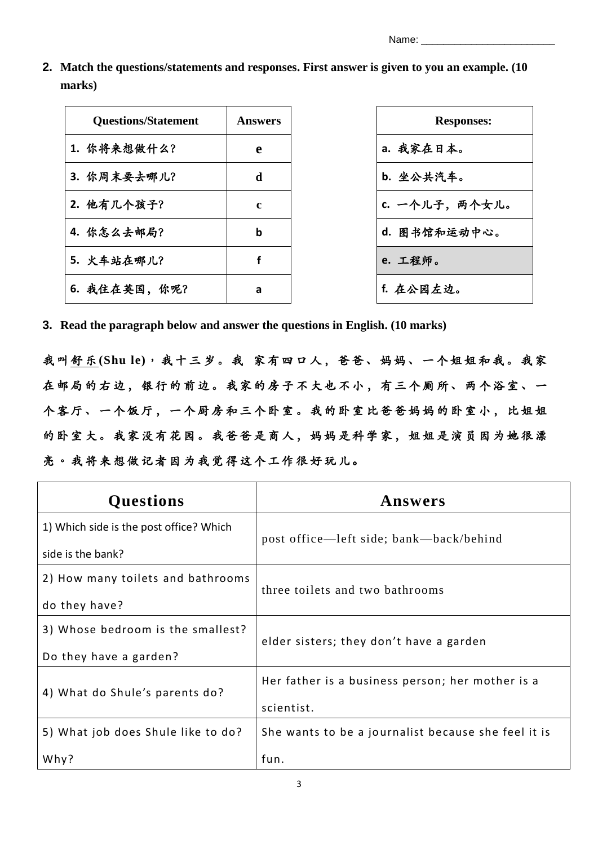Name:

**2. Match the questions/statements and responses. First answer is given to you an example. (10 marks)**

| <b>Questions/Statement</b> | Answers |
|----------------------------|---------|
| 1. 你将来想做什么?                | e       |
| 3. 你周末要去哪儿?                | d       |
| 2. 他有几个孩子?                 | c       |
| 4. 你怎么去邮局?                 | b       |
| 5. 火车站在哪儿?                 | f       |
| 6. 我住在英国, 你呢?              | а       |



**3. Read the paragraph below and answer the questions in English. (10 marks)**

我 叫 舒 乐 **(Shu le)**, 我十三岁。 我 家 有四 口 人 , 爸 爸、 妈妈 、 一 个 姐 姐和 我。 我 家 在邮局的右边,银行的前边。我家的房子不大也不小,有三个厕所、两个浴室、一 个客厅、一个饭厅, 一个厨房和三个卧室。我的卧室比爸爸妈妈的卧室小, 比姐姐 的卧室大。我家没有花园。我爸爸是商人,妈妈是科学家,姐姐是演员因为她很漂 亮。我将来想做记者因为我觉得这个工作很好玩儿。

| <b>Questions</b>                        | Answers                                             |  |  |  |  |
|-----------------------------------------|-----------------------------------------------------|--|--|--|--|
| 1) Which side is the post office? Which | post office—left side; bank—back/behind             |  |  |  |  |
| side is the bank?                       |                                                     |  |  |  |  |
| 2) How many toilets and bathrooms       | three toilets and two bathrooms                     |  |  |  |  |
| do they have?                           |                                                     |  |  |  |  |
| 3) Whose bedroom is the smallest?       | elder sisters; they don't have a garden             |  |  |  |  |
| Do they have a garden?                  |                                                     |  |  |  |  |
| 4) What do Shule's parents do?          | Her father is a business person; her mother is a    |  |  |  |  |
|                                         | scientist.                                          |  |  |  |  |
| 5) What job does Shule like to do?      | She wants to be a journalist because she feel it is |  |  |  |  |
| Why?                                    | fun.                                                |  |  |  |  |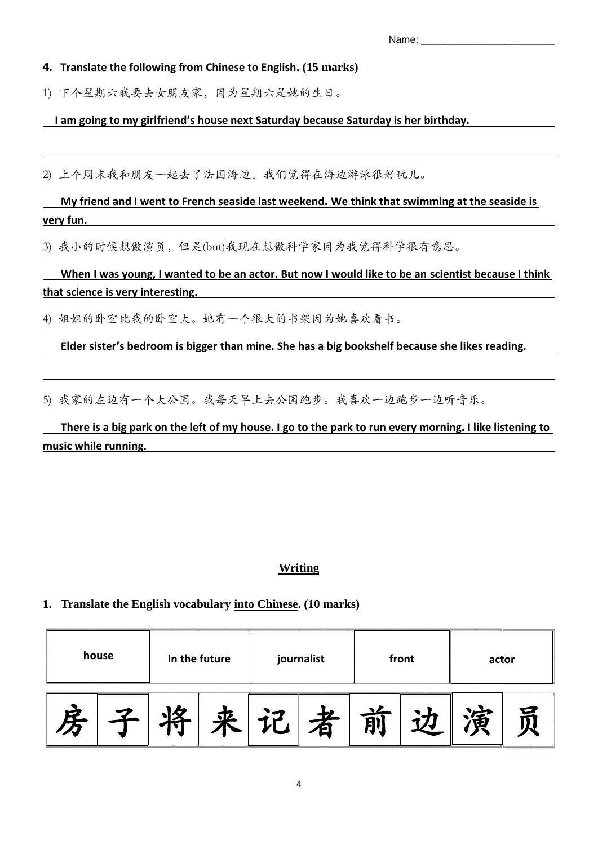| ___ |
|-----|
|-----|

#### **4. Translate the following from Chinese to English. (15 marks)**

1) 下个星期六我要去女朋友家,因为星期六是她的生日。

#### **I am going to my girlfriend's house next Saturday because Saturday is her birthday.**

2) 上个周末我和朋友一起去了法国海边。我们觉得在海边游泳很好玩儿。

# **My friend and I went to French seaside last weekend. We think that swimming at the seaside is very fun.**

3) 我小的时候想做演员,但是(but)我现在想做科学家因为我觉得科学很有意思。

 **When I was young, I wanted to be an actor. But now I would like to be an scientist because I think that science is very interesting.** 

4) 姐姐的卧室比我的卧室大。她有一个很大的书架因为她喜欢看书。

l

### **Elder sister's bedroom is bigger than mine. She has a big bookshelf because she likes reading.**

5) 我家的左边有一个大公园。我每天早上去公园跑步。我喜欢一边跑步一边听音乐。

 **There is a big park on the left of my house. I go to the park to run every morning. I like listening to music while running.** 

## **Writing**

## **1. Translate the English vocabulary into Chinese. (10 marks)**

| house |  | In the future |  | journalist |   | front | actor |  |
|-------|--|---------------|--|------------|---|-------|-------|--|
| R     |  |               |  |            | m |       |       |  |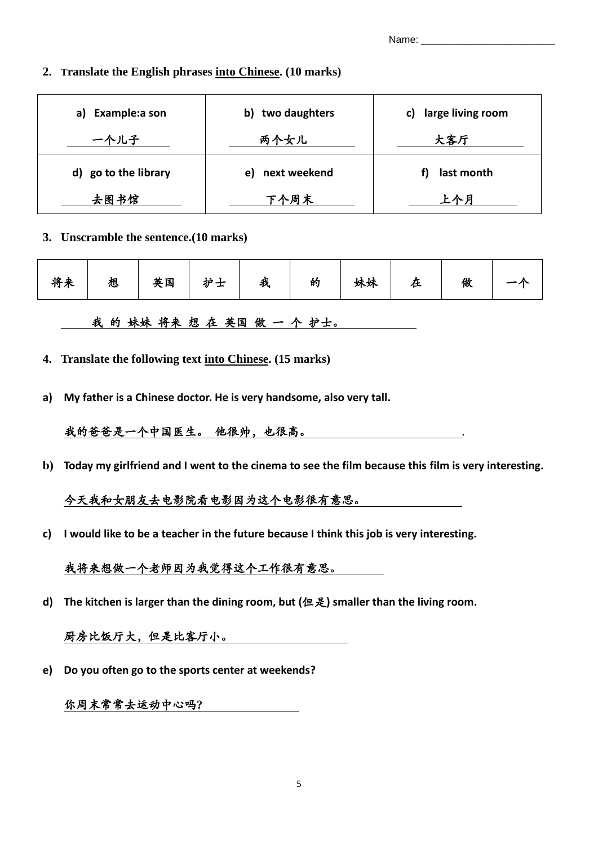Name:

#### **2. Translate the English phrases into Chinese. (10 marks)**

| Example:a son<br>a)  | two daughters<br>b) | large living room<br>C) |
|----------------------|---------------------|-------------------------|
| 一个儿子                 | 两个女儿                | 大客厅                     |
| d) go to the library | next weekend<br>e)  | last month              |
| 去图书馆                 | 下个周末                | 上个月                     |

#### **3. Unscramble the sentence.(10 marks)**

| 将来   想   英国   护士   我   的   妹妹   。<br>在<br>做 |
|---------------------------------------------|
|---------------------------------------------|

我 的 妹妹 将来 想 在 英国 做 一 个 护士。

- **4. Translate the following text into Chinese. (15 marks)**
- **a) My father is a Chinese doctor. He is very handsome, also very tall.**

## 我的爸爸是一个中国医生。 他很帅,也很高。 .

**b) Today my girlfriend and I went to the cinema to see the film because this film is very interesting.**

## 今天我和女朋友去电影院看电影因为这个电影很有意思。

**c) I would like to be a teacher in the future because I think this job is very interesting.**

## 我将来想做一个老师因为我觉得这个工作很有意思。

**d) The kitchen is larger than the dining room, but (**但是**) smaller than the living room.**

## 厨房比饭厅大,但是比客厅小。

**e) Do you often go to the sports center at weekends?**

# 你周末常常去运动中心吗?